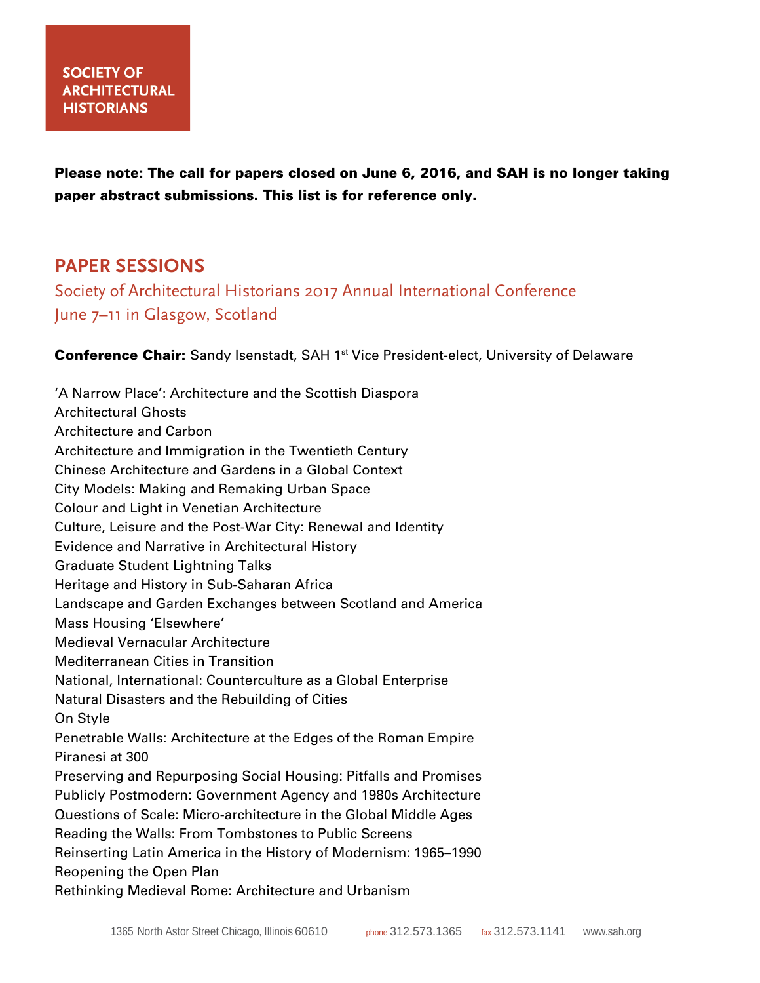Please note: The call for papers closed on June 6, 2016, and SAH is no longer taking paper abstract submissions. This list is for reference only.

# **PAPER SESSIONS**

Society of Architectural Historians 2017 Annual International Conference June 7–11 in Glasgow, Scotland

**Conference Chair:** Sandy Isenstadt, SAH 1<sup>st</sup> Vice President-elect, University of Delaware

'A Narrow Place': Architecture and the Scottish Diaspora Architectural Ghosts Architecture and Carbon Architecture and Immigration in the Twentieth Century Chinese Architecture and Gardens in a Global Context City Models: Making and Remaking Urban Space Colour and Light in Venetian Architecture Culture, Leisure and the Post-War City: Renewal and Identity Evidence and Narrative in Architectural History Graduate Student Lightning Talks Heritage and History in Sub-Saharan Africa Landscape and Garden Exchanges between Scotland and America Mass Housing 'Elsewhere' Medieval Vernacular Architecture Mediterranean Cities in Transition National, International: Counterculture as a Global Enterprise Natural Disasters and the Rebuilding of Cities On Style Penetrable Walls: Architecture at the Edges of the Roman Empire Piranesi at 300 Preserving and Repurposing Social Housing: Pitfalls and Promises Publicly Postmodern: Government Agency and 1980s Architecture Questions of Scale: Micro-architecture in the Global Middle Ages Reading the Walls: From Tombstones to Public Screens Reinserting Latin America in the History of Modernism: 1965–1990 Reopening the Open Plan Rethinking Medieval Rome: Architecture and Urbanism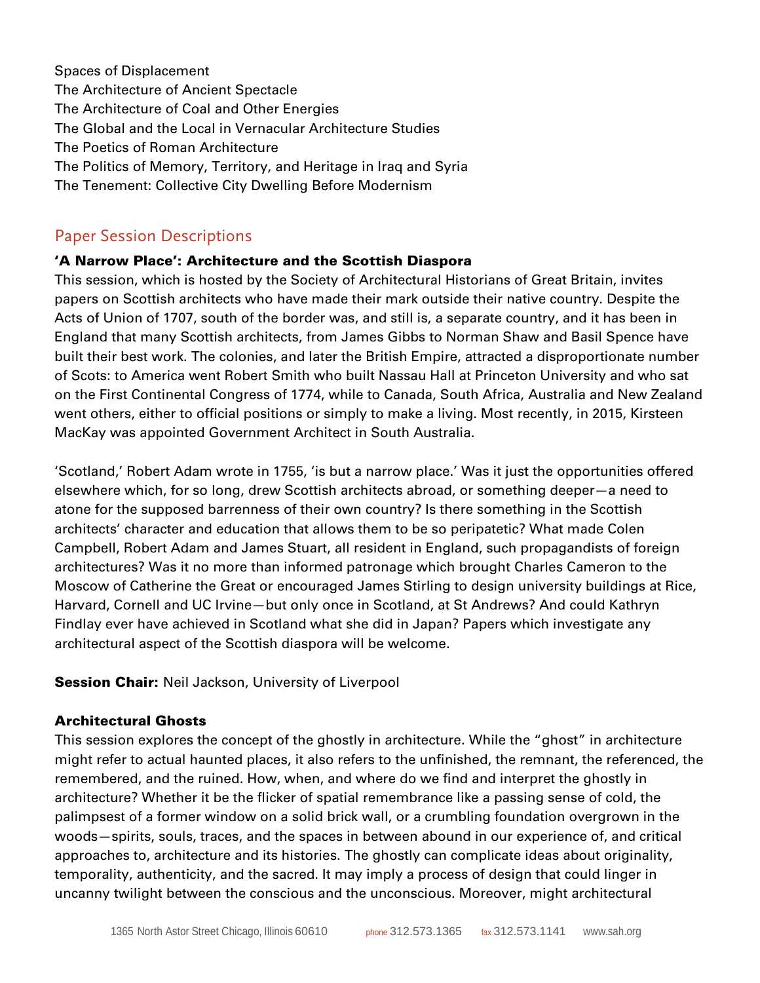Spaces of Displacement The Architecture of Ancient Spectacle The Architecture of Coal and Other Energies The Global and the Local in Vernacular Architecture Studies The Poetics of Roman Architecture The Politics of Memory, Territory, and Heritage in Iraq and Syria The Tenement: Collective City Dwelling Before Modernism

## Paper Session Descriptions

#### 'A Narrow Place': Architecture and the Scottish Diaspora

This session, which is hosted by the Society of Architectural Historians of Great Britain, invites papers on Scottish architects who have made their mark outside their native country. Despite the Acts of Union of 1707, south of the border was, and still is, a separate country, and it has been in England that many Scottish architects, from James Gibbs to Norman Shaw and Basil Spence have built their best work. The colonies, and later the British Empire, attracted a disproportionate number of Scots: to America went Robert Smith who built Nassau Hall at Princeton University and who sat on the First Continental Congress of 1774, while to Canada, South Africa, Australia and New Zealand went others, either to official positions or simply to make a living. Most recently, in 2015, Kirsteen MacKay was appointed Government Architect in South Australia.

'Scotland,' Robert Adam wrote in 1755, 'is but a narrow place.' Was it just the opportunities offered elsewhere which, for so long, drew Scottish architects abroad, or something deeper—a need to atone for the supposed barrenness of their own country? Is there something in the Scottish architects' character and education that allows them to be so peripatetic? What made Colen Campbell, Robert Adam and James Stuart, all resident in England, such propagandists of foreign architectures? Was it no more than informed patronage which brought Charles Cameron to the Moscow of Catherine the Great or encouraged James Stirling to design university buildings at Rice, Harvard, Cornell and UC Irvine—but only once in Scotland, at St Andrews? And could Kathryn Findlay ever have achieved in Scotland what she did in Japan? Papers which investigate any architectural aspect of the Scottish diaspora will be welcome.

**Session Chair:** Neil Jackson, University of Liverpool

#### Architectural Ghosts

This session explores the concept of the ghostly in architecture. While the "ghost" in architecture might refer to actual haunted places, it also refers to the unfinished, the remnant, the referenced, the remembered, and the ruined. How, when, and where do we find and interpret the ghostly in architecture? Whether it be the flicker of spatial remembrance like a passing sense of cold, the palimpsest of a former window on a solid brick wall, or a crumbling foundation overgrown in the woods—spirits, souls, traces, and the spaces in between abound in our experience of, and critical approaches to, architecture and its histories. The ghostly can complicate ideas about originality, temporality, authenticity, and the sacred. It may imply a process of design that could linger in uncanny twilight between the conscious and the unconscious. Moreover, might architectural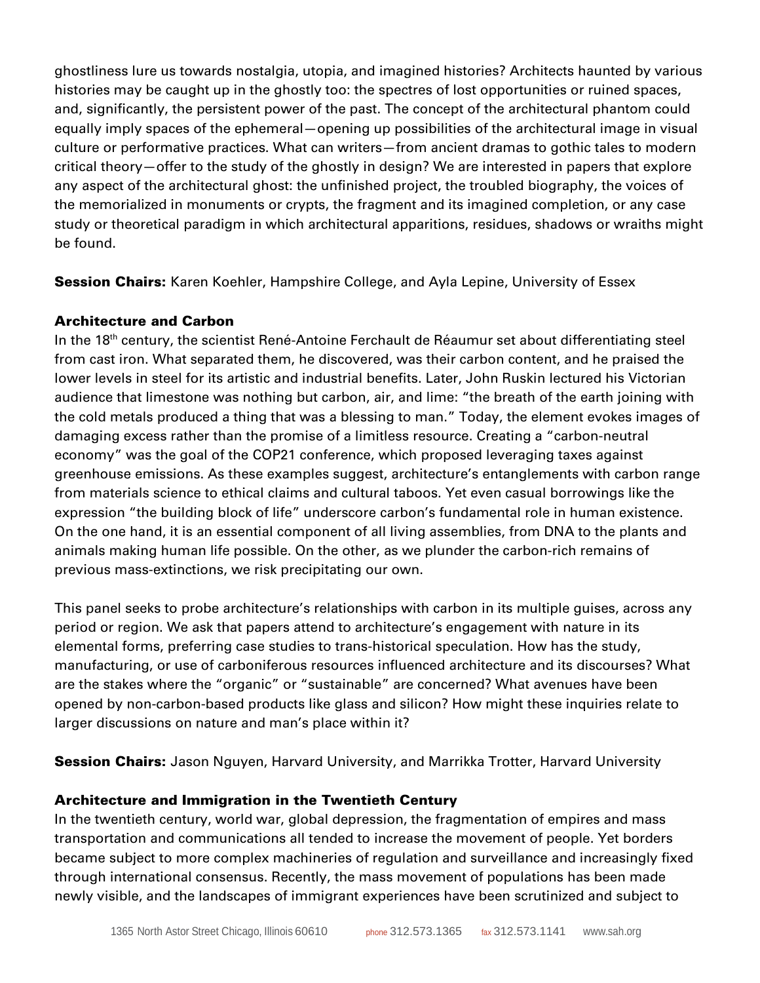ghostliness lure us towards nostalgia, utopia, and imagined histories? Architects haunted by various histories may be caught up in the ghostly too: the spectres of lost opportunities or ruined spaces, and, significantly, the persistent power of the past. The concept of the architectural phantom could equally imply spaces of the ephemeral—opening up possibilities of the architectural image in visual culture or performative practices. What can writers—from ancient dramas to gothic tales to modern critical theory—offer to the study of the ghostly in design? We are interested in papers that explore any aspect of the architectural ghost: the unfinished project, the troubled biography, the voices of the memorialized in monuments or crypts, the fragment and its imagined completion, or any case study or theoretical paradigm in which architectural apparitions, residues, shadows or wraiths might be found.

**Session Chairs:** Karen Koehler, Hampshire College, and Ayla Lepine, University of Essex

## Architecture and Carbon

In the 18<sup>th</sup> century, the scientist René-Antoine Ferchault de Réaumur set about differentiating steel from cast iron. What separated them, he discovered, was their carbon content, and he praised the lower levels in steel for its artistic and industrial benefits. Later, John Ruskin lectured his Victorian audience that limestone was nothing but carbon, air, and lime: "the breath of the earth joining with the cold metals produced a thing that was a blessing to man." Today, the element evokes images of damaging excess rather than the promise of a limitless resource. Creating a "carbon-neutral economy" was the goal of the COP21 conference, which proposed leveraging taxes against greenhouse emissions. As these examples suggest, architecture's entanglements with carbon range from materials science to ethical claims and cultural taboos. Yet even casual borrowings like the expression "the building block of life" underscore carbon's fundamental role in human existence. On the one hand, it is an essential component of all living assemblies, from DNA to the plants and animals making human life possible. On the other, as we plunder the carbon-rich remains of previous mass-extinctions, we risk precipitating our own.

This panel seeks to probe architecture's relationships with carbon in its multiple guises, across any period or region. We ask that papers attend to architecture's engagement with nature in its elemental forms, preferring case studies to trans-historical speculation. How has the study, manufacturing, or use of carboniferous resources influenced architecture and its discourses? What are the stakes where the "organic" or "sustainable" are concerned? What avenues have been opened by non-carbon-based products like glass and silicon? How might these inquiries relate to larger discussions on nature and man's place within it?

**Session Chairs:** Jason Nguyen, Harvard University, and Marrikka Trotter, Harvard University

### Architecture and Immigration in the Twentieth Century

In the twentieth century, world war, global depression, the fragmentation of empires and mass transportation and communications all tended to increase the movement of people. Yet borders became subject to more complex machineries of regulation and surveillance and increasingly fixed through international consensus. Recently, the mass movement of populations has been made newly visible, and the landscapes of immigrant experiences have been scrutinized and subject to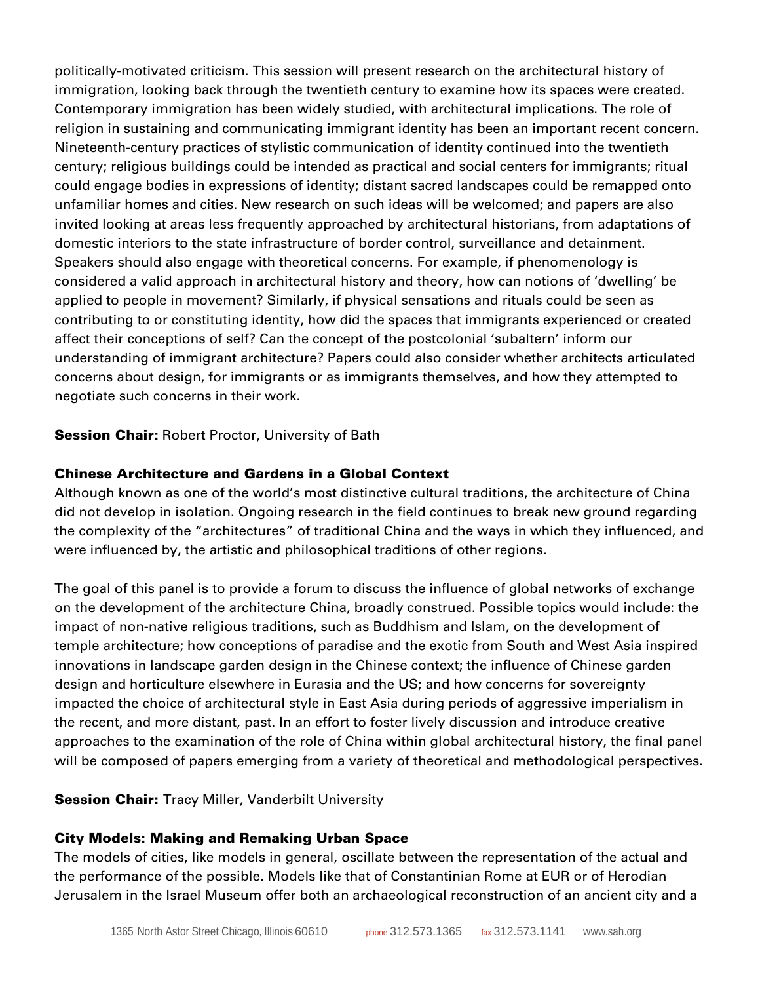politically-motivated criticism. This session will present research on the architectural history of immigration, looking back through the twentieth century to examine how its spaces were created. Contemporary immigration has been widely studied, with architectural implications. The role of religion in sustaining and communicating immigrant identity has been an important recent concern. Nineteenth-century practices of stylistic communication of identity continued into the twentieth century; religious buildings could be intended as practical and social centers for immigrants; ritual could engage bodies in expressions of identity; distant sacred landscapes could be remapped onto unfamiliar homes and cities. New research on such ideas will be welcomed; and papers are also invited looking at areas less frequently approached by architectural historians, from adaptations of domestic interiors to the state infrastructure of border control, surveillance and detainment. Speakers should also engage with theoretical concerns. For example, if phenomenology is considered a valid approach in architectural history and theory, how can notions of 'dwelling' be applied to people in movement? Similarly, if physical sensations and rituals could be seen as contributing to or constituting identity, how did the spaces that immigrants experienced or created affect their conceptions of self? Can the concept of the postcolonial 'subaltern' inform our understanding of immigrant architecture? Papers could also consider whether architects articulated concerns about design, for immigrants or as immigrants themselves, and how they attempted to negotiate such concerns in their work.

#### **Session Chair:** Robert Proctor, University of Bath

#### Chinese Architecture and Gardens in a Global Context

Although known as one of the world's most distinctive cultural traditions, the architecture of China did not develop in isolation. Ongoing research in the field continues to break new ground regarding the complexity of the "architectures" of traditional China and the ways in which they influenced, and were influenced by, the artistic and philosophical traditions of other regions.

The goal of this panel is to provide a forum to discuss the influence of global networks of exchange on the development of the architecture China, broadly construed. Possible topics would include: the impact of non-native religious traditions, such as Buddhism and Islam, on the development of temple architecture; how conceptions of paradise and the exotic from South and West Asia inspired innovations in landscape garden design in the Chinese context; the influence of Chinese garden design and horticulture elsewhere in Eurasia and the US; and how concerns for sovereignty impacted the choice of architectural style in East Asia during periods of aggressive imperialism in the recent, and more distant, past. In an effort to foster lively discussion and introduce creative approaches to the examination of the role of China within global architectural history, the final panel will be composed of papers emerging from a variety of theoretical and methodological perspectives.

### **Session Chair:** Tracy Miller, Vanderbilt University

### City Models: Making and Remaking Urban Space

The models of cities, like models in general, oscillate between the representation of the actual and the performance of the possible. Models like that of Constantinian Rome at EUR or of Herodian Jerusalem in the Israel Museum offer both an archaeological reconstruction of an ancient city and a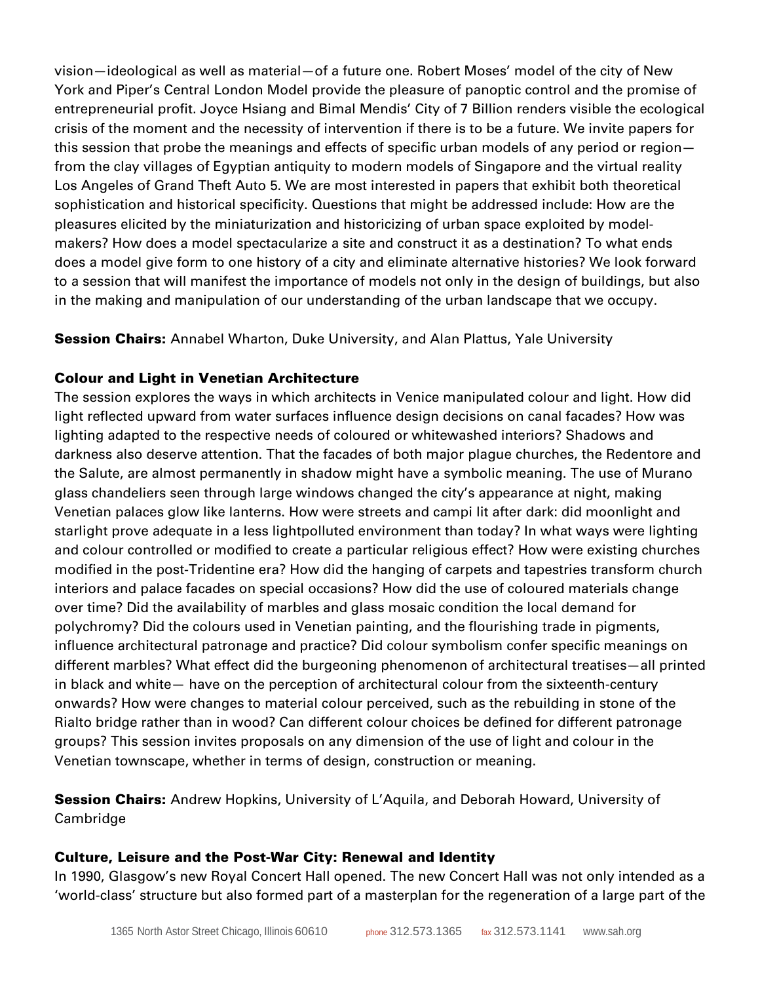vision—ideological as well as material—of a future one. Robert Moses' model of the city of New York and Piper's Central London Model provide the pleasure of panoptic control and the promise of entrepreneurial profit. Joyce Hsiang and Bimal Mendis' City of 7 Billion renders visible the ecological crisis of the moment and the necessity of intervention if there is to be a future. We invite papers for this session that probe the meanings and effects of specific urban models of any period or region from the clay villages of Egyptian antiquity to modern models of Singapore and the virtual reality Los Angeles of Grand Theft Auto 5. We are most interested in papers that exhibit both theoretical sophistication and historical specificity. Questions that might be addressed include: How are the pleasures elicited by the miniaturization and historicizing of urban space exploited by modelmakers? How does a model spectacularize a site and construct it as a destination? To what ends does a model give form to one history of a city and eliminate alternative histories? We look forward to a session that will manifest the importance of models not only in the design of buildings, but also in the making and manipulation of our understanding of the urban landscape that we occupy.

**Session Chairs:** Annabel Wharton, Duke University, and Alan Plattus, Yale University

## Colour and Light in Venetian Architecture

The session explores the ways in which architects in Venice manipulated colour and light. How did light reflected upward from water surfaces influence design decisions on canal facades? How was lighting adapted to the respective needs of coloured or whitewashed interiors? Shadows and darkness also deserve attention. That the facades of both major plague churches, the Redentore and the Salute, are almost permanently in shadow might have a symbolic meaning. The use of Murano glass chandeliers seen through large windows changed the city's appearance at night, making Venetian palaces glow like lanterns. How were streets and campi lit after dark: did moonlight and starlight prove adequate in a less lightpolluted environment than today? In what ways were lighting and colour controlled or modified to create a particular religious effect? How were existing churches modified in the post-Tridentine era? How did the hanging of carpets and tapestries transform church interiors and palace facades on special occasions? How did the use of coloured materials change over time? Did the availability of marbles and glass mosaic condition the local demand for polychromy? Did the colours used in Venetian painting, and the flourishing trade in pigments, influence architectural patronage and practice? Did colour symbolism confer specific meanings on different marbles? What effect did the burgeoning phenomenon of architectural treatises—all printed in black and white— have on the perception of architectural colour from the sixteenth-century onwards? How were changes to material colour perceived, such as the rebuilding in stone of the Rialto bridge rather than in wood? Can different colour choices be defined for different patronage groups? This session invites proposals on any dimension of the use of light and colour in the Venetian townscape, whether in terms of design, construction or meaning.

**Session Chairs:** Andrew Hopkins, University of L'Aquila, and Deborah Howard, University of Cambridge

## Culture, Leisure and the Post-War City: Renewal and Identity

In 1990, Glasgow's new Royal Concert Hall opened. The new Concert Hall was not only intended as a 'world-class' structure but also formed part of a masterplan for the regeneration of a large part of the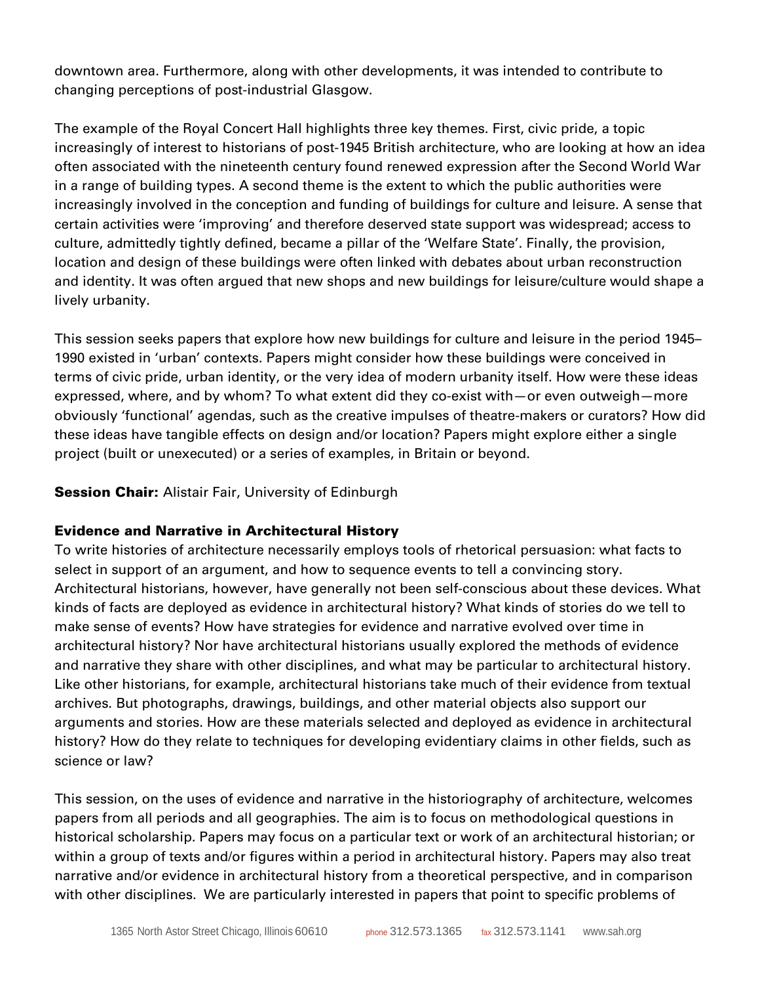downtown area. Furthermore, along with other developments, it was intended to contribute to changing perceptions of post-industrial Glasgow.

The example of the Royal Concert Hall highlights three key themes. First, civic pride, a topic increasingly of interest to historians of post-1945 British architecture, who are looking at how an idea often associated with the nineteenth century found renewed expression after the Second World War in a range of building types. A second theme is the extent to which the public authorities were increasingly involved in the conception and funding of buildings for culture and leisure. A sense that certain activities were 'improving' and therefore deserved state support was widespread; access to culture, admittedly tightly defined, became a pillar of the 'Welfare State'. Finally, the provision, location and design of these buildings were often linked with debates about urban reconstruction and identity. It was often argued that new shops and new buildings for leisure/culture would shape a lively urbanity.

This session seeks papers that explore how new buildings for culture and leisure in the period 1945– 1990 existed in 'urban' contexts. Papers might consider how these buildings were conceived in terms of civic pride, urban identity, or the very idea of modern urbanity itself. How were these ideas expressed, where, and by whom? To what extent did they co-exist with—or even outweigh—more obviously 'functional' agendas, such as the creative impulses of theatre-makers or curators? How did these ideas have tangible effects on design and/or location? Papers might explore either a single project (built or unexecuted) or a series of examples, in Britain or beyond.

### **Session Chair:** Alistair Fair, University of Edinburgh

### Evidence and Narrative in Architectural History

To write histories of architecture necessarily employs tools of rhetorical persuasion: what facts to select in support of an argument, and how to sequence events to tell a convincing story. Architectural historians, however, have generally not been self-conscious about these devices. What kinds of facts are deployed as evidence in architectural history? What kinds of stories do we tell to make sense of events? How have strategies for evidence and narrative evolved over time in architectural history? Nor have architectural historians usually explored the methods of evidence and narrative they share with other disciplines, and what may be particular to architectural history. Like other historians, for example, architectural historians take much of their evidence from textual archives. But photographs, drawings, buildings, and other material objects also support our arguments and stories. How are these materials selected and deployed as evidence in architectural history? How do they relate to techniques for developing evidentiary claims in other fields, such as science or law?

This session, on the uses of evidence and narrative in the historiography of architecture, welcomes papers from all periods and all geographies. The aim is to focus on methodological questions in historical scholarship. Papers may focus on a particular text or work of an architectural historian; or within a group of texts and/or figures within a period in architectural history. Papers may also treat narrative and/or evidence in architectural history from a theoretical perspective, and in comparison with other disciplines. We are particularly interested in papers that point to specific problems of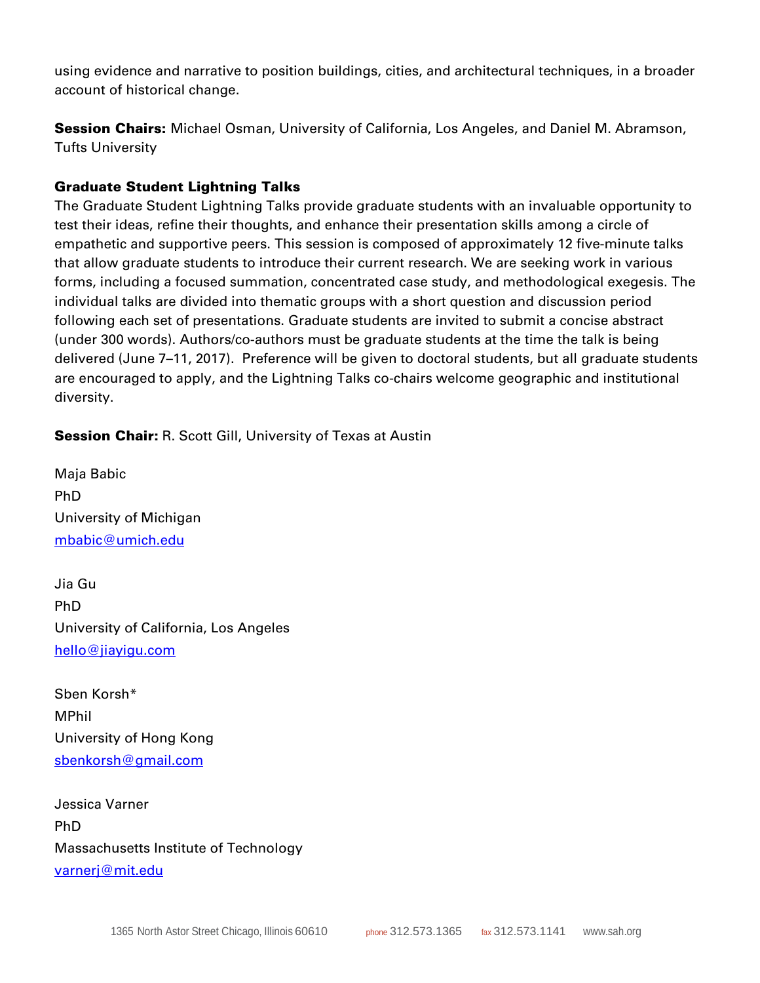using evidence and narrative to position buildings, cities, and architectural techniques, in a broader account of historical change.

**Session Chairs:** Michael Osman, University of California, Los Angeles, and Daniel M. Abramson, Tufts University

### Graduate Student Lightning Talks

The Graduate Student Lightning Talks provide graduate students with an invaluable opportunity to test their ideas, refine their thoughts, and enhance their presentation skills among a circle of empathetic and supportive peers. This session is composed of approximately 12 five-minute talks that allow graduate students to introduce their current research. We are seeking work in various forms, including a focused summation, concentrated case study, and methodological exegesis. The individual talks are divided into thematic groups with a short question and discussion period following each set of presentations. Graduate students are invited to submit a concise abstract (under 300 words). Authors/co-authors must be graduate students at the time the talk is being delivered (June 7–11, 2017). Preference will be given to doctoral students, but all graduate students are encouraged to apply, and the Lightning Talks co-chairs welcome geographic and institutional diversity.

**Session Chair:** R. Scott Gill, University of Texas at Austin

Maja Babic PhD University of Michigan [mbabic@umich.edu](mailto:mbabic@umich.edu)

Jia Gu PhD University of California, Los Angeles [hello@jiayigu.com](mailto:hello@jiayigu.com)

Sben Korsh\* MPhil University of Hong Kong [sbenkorsh@gmail.com](mailto:sbenkorsh@gmail.com)

Jessica Varner PhD Massachusetts Institute of Technology [varnerj@mit.edu](mailto:varnerj@mit.edu)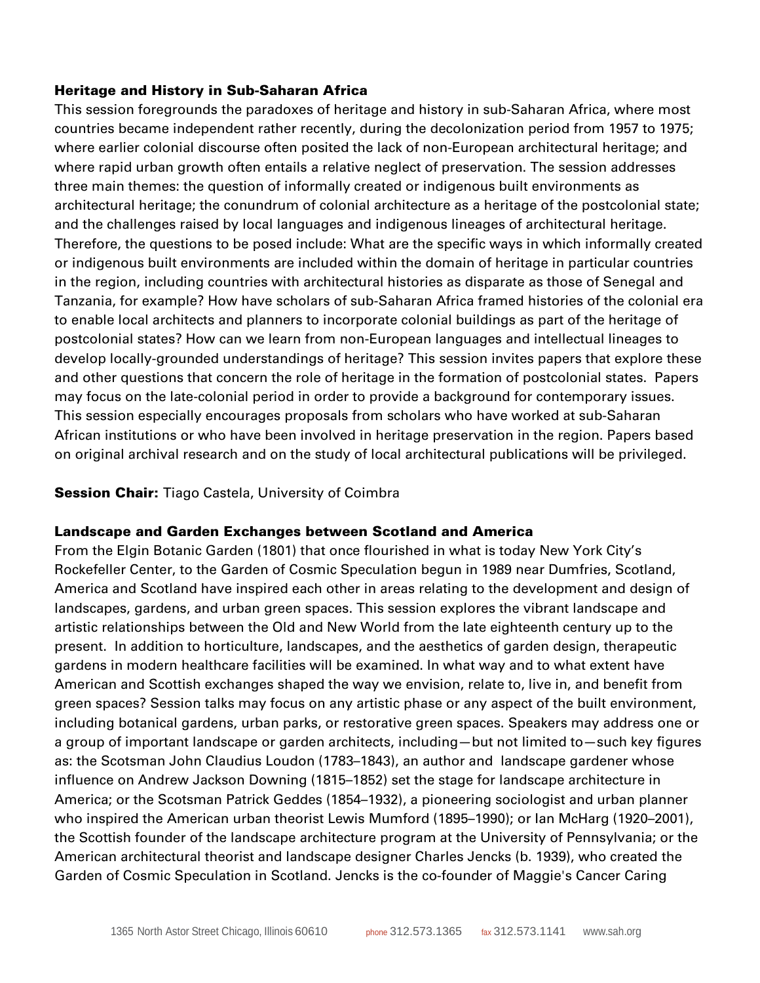#### Heritage and History in Sub-Saharan Africa

This session foregrounds the paradoxes of heritage and history in sub-Saharan Africa, where most countries became independent rather recently, during the decolonization period from 1957 to 1975; where earlier colonial discourse often posited the lack of non-European architectural heritage; and where rapid urban growth often entails a relative neglect of preservation. The session addresses three main themes: the question of informally created or indigenous built environments as architectural heritage; the conundrum of colonial architecture as a heritage of the postcolonial state; and the challenges raised by local languages and indigenous lineages of architectural heritage. Therefore, the questions to be posed include: What are the specific ways in which informally created or indigenous built environments are included within the domain of heritage in particular countries in the region, including countries with architectural histories as disparate as those of Senegal and Tanzania, for example? How have scholars of sub-Saharan Africa framed histories of the colonial era to enable local architects and planners to incorporate colonial buildings as part of the heritage of postcolonial states? How can we learn from non-European languages and intellectual lineages to develop locally-grounded understandings of heritage? This session invites papers that explore these and other questions that concern the role of heritage in the formation of postcolonial states. Papers may focus on the late-colonial period in order to provide a background for contemporary issues. This session especially encourages proposals from scholars who have worked at sub-Saharan African institutions or who have been involved in heritage preservation in the region. Papers based on original archival research and on the study of local architectural publications will be privileged.

#### **Session Chair:** Tiago Castela, University of Coimbra

#### Landscape and Garden Exchanges between Scotland and America

From the Elgin Botanic Garden (1801) that once flourished in what is today New York City's Rockefeller Center, to the Garden of Cosmic Speculation begun in 1989 near Dumfries, Scotland, America and Scotland have inspired each other in areas relating to the development and design of landscapes, gardens, and urban green spaces. This session explores the vibrant landscape and artistic relationships between the Old and New World from the late eighteenth century up to the present. In addition to horticulture, landscapes, and the aesthetics of garden design, therapeutic gardens in modern healthcare facilities will be examined. In what way and to what extent have American and Scottish exchanges shaped the way we envision, relate to, live in, and benefit from green spaces? Session talks may focus on any artistic phase or any aspect of the built environment, including botanical gardens, urban parks, or restorative green spaces. Speakers may address one or a group of important landscape or garden architects, including—but not limited to—such key figures as: the Scotsman John Claudius Loudon (1783–1843), an author and landscape gardener whose influence on Andrew Jackson Downing (1815–1852) set the stage for landscape architecture in America; or the Scotsman Patrick Geddes (1854–1932), a pioneering sociologist and urban planner who inspired the American urban theorist Lewis Mumford (1895–1990); or Ian McHarg (1920–2001), the Scottish founder of the landscape architecture program at the University of Pennsylvania; or the American architectural theorist and landscape designer Charles Jencks (b. 1939), who created the Garden of Cosmic Speculation in Scotland. Jencks is the co-founder of Maggie's Cancer Caring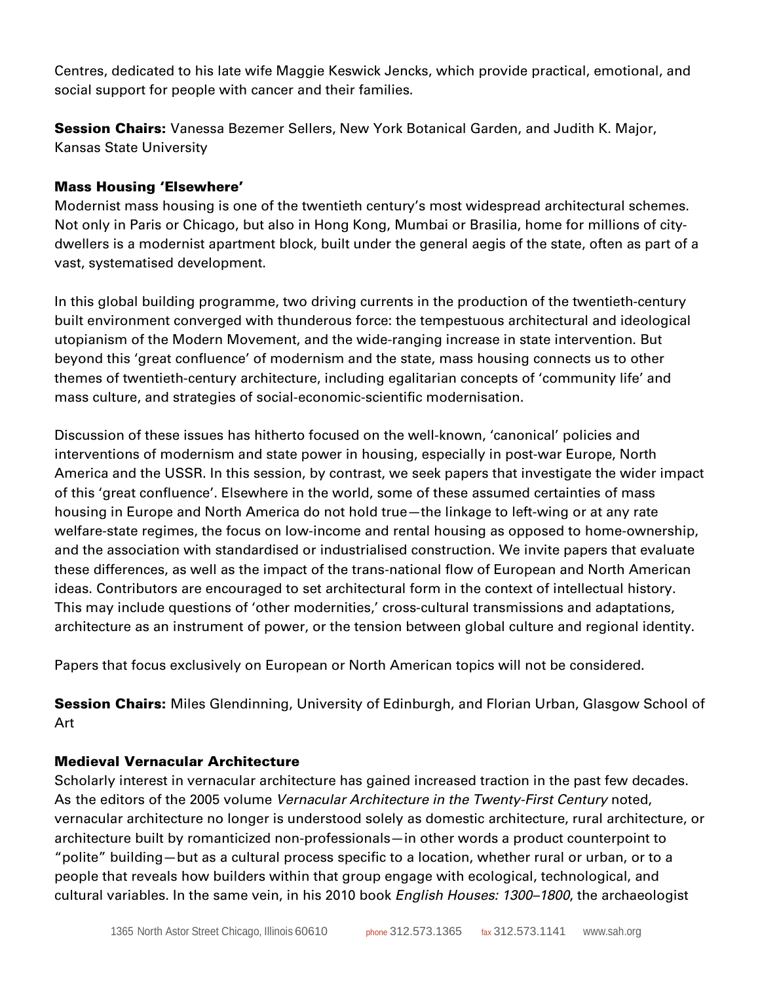Centres, dedicated to his late wife Maggie Keswick Jencks, which provide practical, emotional, and social support for people with cancer and their families.

Session Chairs: Vanessa Bezemer Sellers, New York Botanical Garden, and Judith K. Major, Kansas State University

### Mass Housing 'Elsewhere'

Modernist mass housing is one of the twentieth century's most widespread architectural schemes. Not only in Paris or Chicago, but also in Hong Kong, Mumbai or Brasilia, home for millions of citydwellers is a modernist apartment block, built under the general aegis of the state, often as part of a vast, systematised development.

In this global building programme, two driving currents in the production of the twentieth-century built environment converged with thunderous force: the tempestuous architectural and ideological utopianism of the Modern Movement, and the wide-ranging increase in state intervention. But beyond this 'great confluence' of modernism and the state, mass housing connects us to other themes of twentieth-century architecture, including egalitarian concepts of 'community life' and mass culture, and strategies of social-economic-scientific modernisation.

Discussion of these issues has hitherto focused on the well-known, 'canonical' policies and interventions of modernism and state power in housing, especially in post-war Europe, North America and the USSR. In this session, by contrast, we seek papers that investigate the wider impact of this 'great confluence'. Elsewhere in the world, some of these assumed certainties of mass housing in Europe and North America do not hold true—the linkage to left-wing or at any rate welfare-state regimes, the focus on low-income and rental housing as opposed to home-ownership, and the association with standardised or industrialised construction. We invite papers that evaluate these differences, as well as the impact of the trans-national flow of European and North American ideas. Contributors are encouraged to set architectural form in the context of intellectual history. This may include questions of 'other modernities,' cross-cultural transmissions and adaptations, architecture as an instrument of power, or the tension between global culture and regional identity.

Papers that focus exclusively on European or North American topics will not be considered.

**Session Chairs:** Miles Glendinning, University of Edinburgh, and Florian Urban, Glasgow School of Art

### Medieval Vernacular Architecture

Scholarly interest in vernacular architecture has gained increased traction in the past few decades. As the editors of the 2005 volume *Vernacular Architecture in the Twenty-First Century* noted, vernacular architecture no longer is understood solely as domestic architecture, rural architecture, or architecture built by romanticized non-professionals—in other words a product counterpoint to "polite" building—but as a cultural process specific to a location, whether rural or urban, or to a people that reveals how builders within that group engage with ecological, technological, and cultural variables. In the same vein, in his 2010 book *English Houses: 1300–1800*, the archaeologist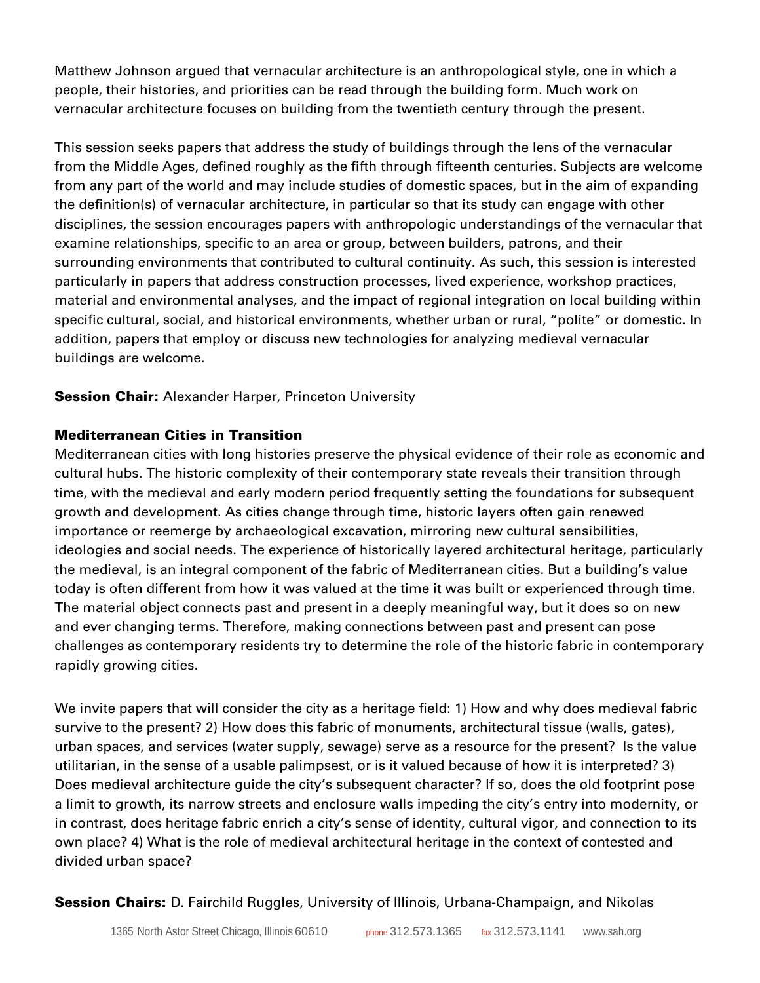Matthew Johnson argued that vernacular architecture is an anthropological style, one in which a people, their histories, and priorities can be read through the building form. Much work on vernacular architecture focuses on building from the twentieth century through the present.

This session seeks papers that address the study of buildings through the lens of the vernacular from the Middle Ages, defined roughly as the fifth through fifteenth centuries. Subjects are welcome from any part of the world and may include studies of domestic spaces, but in the aim of expanding the definition(s) of vernacular architecture, in particular so that its study can engage with other disciplines, the session encourages papers with anthropologic understandings of the vernacular that examine relationships, specific to an area or group, between builders, patrons, and their surrounding environments that contributed to cultural continuity. As such, this session is interested particularly in papers that address construction processes, lived experience, workshop practices, material and environmental analyses, and the impact of regional integration on local building within specific cultural, social, and historical environments, whether urban or rural, "polite" or domestic. In addition, papers that employ or discuss new technologies for analyzing medieval vernacular buildings are welcome.

**Session Chair:** Alexander Harper, Princeton University

## Mediterranean Cities in Transition

Mediterranean cities with long histories preserve the physical evidence of their role as economic and cultural hubs. The historic complexity of their contemporary state reveals their transition through time, with the medieval and early modern period frequently setting the foundations for subsequent growth and development. As cities change through time, historic layers often gain renewed importance or reemerge by archaeological excavation, mirroring new cultural sensibilities, ideologies and social needs. The experience of historically layered architectural heritage, particularly the medieval, is an integral component of the fabric of Mediterranean cities. But a building's value today is often different from how it was valued at the time it was built or experienced through time. The material object connects past and present in a deeply meaningful way, but it does so on new and ever changing terms. Therefore, making connections between past and present can pose challenges as contemporary residents try to determine the role of the historic fabric in contemporary rapidly growing cities.

We invite papers that will consider the city as a heritage field: 1) How and why does medieval fabric survive to the present? 2) How does this fabric of monuments, architectural tissue (walls, gates), urban spaces, and services (water supply, sewage) serve as a resource for the present? Is the value utilitarian, in the sense of a usable palimpsest, or is it valued because of how it is interpreted? 3) Does medieval architecture guide the city's subsequent character? If so, does the old footprint pose a limit to growth, its narrow streets and enclosure walls impeding the city's entry into modernity, or in contrast, does heritage fabric enrich a city's sense of identity, cultural vigor, and connection to its own place? 4) What is the role of medieval architectural heritage in the context of contested and divided urban space?

**Session Chairs:** D. Fairchild Ruggles, University of Illinois, Urbana-Champaign, and Nikolas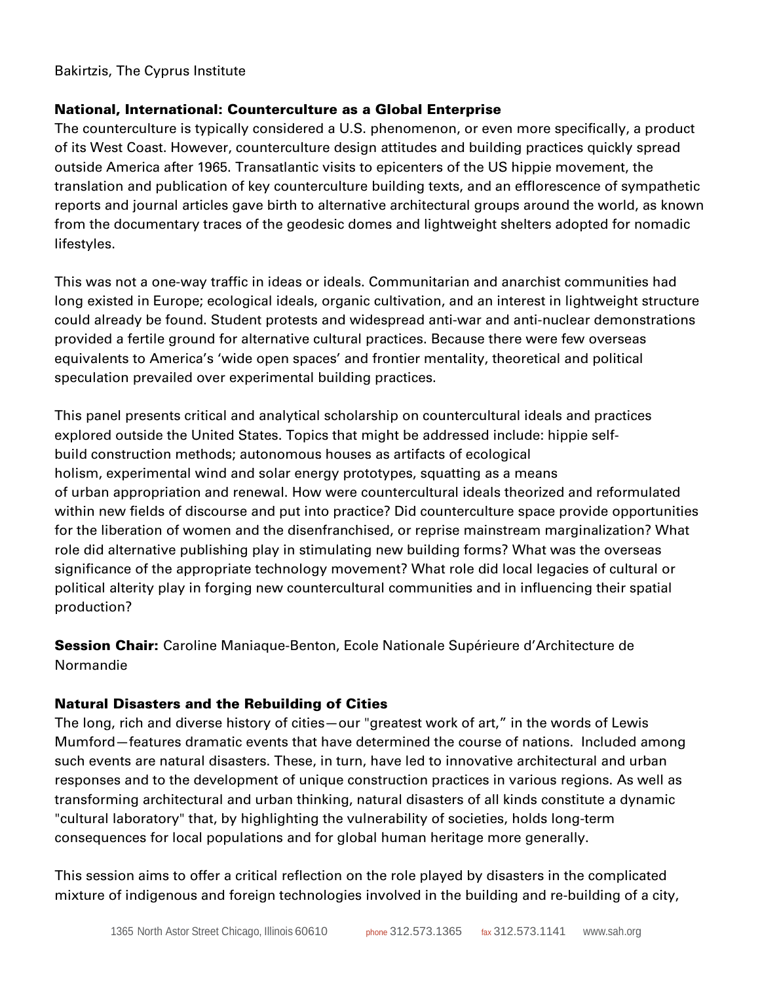#### Bakirtzis, The Cyprus Institute

#### National, International: Counterculture as a Global Enterprise

The counterculture is typically considered a U.S. phenomenon, or even more specifically, a product of its West Coast. However, counterculture design attitudes and building practices quickly spread outside America after 1965. Transatlantic visits to epicenters of the US hippie movement, the translation and publication of key counterculture building texts, and an efflorescence of sympathetic reports and journal articles gave birth to alternative architectural groups around the world, as known from the documentary traces of the geodesic domes and lightweight shelters adopted for nomadic lifestyles.

This was not a one-way traffic in ideas or ideals. Communitarian and anarchist communities had long existed in Europe; ecological ideals, organic cultivation, and an interest in lightweight structure could already be found. Student protests and widespread anti-war and anti-nuclear demonstrations provided a fertile ground for alternative cultural practices. Because there were few overseas equivalents to America's 'wide open spaces' and frontier mentality, theoretical and political speculation prevailed over experimental building practices.

This panel presents critical and analytical scholarship on countercultural ideals and practices explored outside the United States. Topics that might be addressed include: hippie selfbuild construction methods; autonomous houses as artifacts of ecological holism, experimental wind and solar energy prototypes, squatting as a means of urban appropriation and renewal. How were countercultural ideals theorized and reformulated within new fields of discourse and put into practice? Did counterculture space provide opportunities for the liberation of women and the disenfranchised, or reprise mainstream marginalization? What role did alternative publishing play in stimulating new building forms? What was the overseas significance of the appropriate technology movement? What role did local legacies of cultural or political alterity play in forging new countercultural communities and in influencing their spatial production?

Session Chair: Caroline Maniaque-Benton, Ecole Nationale Supérieure d'Architecture de Normandie

### Natural Disasters and the Rebuilding of Cities

The long, rich and diverse history of cities—our "greatest work of art," in the words of Lewis Mumford—features dramatic events that have determined the course of nations. Included among such events are natural disasters. These, in turn, have led to innovative architectural and urban responses and to the development of unique construction practices in various regions. As well as transforming architectural and urban thinking, natural disasters of all kinds constitute a dynamic "cultural laboratory" that, by highlighting the vulnerability of societies, holds long-term consequences for local populations and for global human heritage more generally.

This session aims to offer a critical reflection on the role played by disasters in the complicated mixture of indigenous and foreign technologies involved in the building and re-building of a city,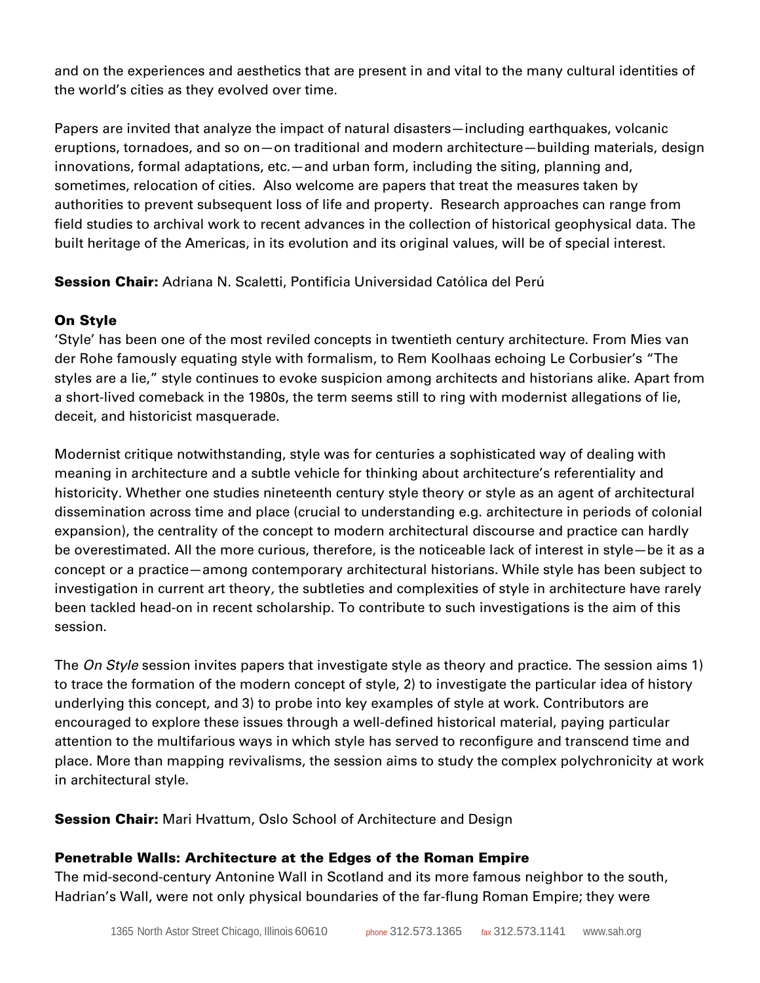and on the experiences and aesthetics that are present in and vital to the many cultural identities of the world's cities as they evolved over time.

Papers are invited that analyze the impact of natural disasters—including earthquakes, volcanic eruptions, tornadoes, and so on—on traditional and modern architecture—building materials, design innovations, formal adaptations, etc.—and urban form, including the siting, planning and, sometimes, relocation of cities. Also welcome are papers that treat the measures taken by authorities to prevent subsequent loss of life and property. Research approaches can range from field studies to archival work to recent advances in the collection of historical geophysical data. The built heritage of the Americas, in its evolution and its original values, will be of special interest.

Session Chair: Adriana N. Scaletti, Pontificia Universidad Católica del Perú

## On Style

'Style' has been one of the most reviled concepts in twentieth century architecture. From Mies van der Rohe famously equating style with formalism, to Rem Koolhaas echoing Le Corbusier's "The styles are a lie," style continues to evoke suspicion among architects and historians alike. Apart from a short-lived comeback in the 1980s, the term seems still to ring with modernist allegations of lie, deceit, and historicist masquerade.

Modernist critique notwithstanding, style was for centuries a sophisticated way of dealing with meaning in architecture and a subtle vehicle for thinking about architecture's referentiality and historicity. Whether one studies nineteenth century style theory or style as an agent of architectural dissemination across time and place (crucial to understanding e.g. architecture in periods of colonial expansion), the centrality of the concept to modern architectural discourse and practice can hardly be overestimated. All the more curious, therefore, is the noticeable lack of interest in style—be it as a concept or a practice—among contemporary architectural historians. While style has been subject to investigation in current art theory*,* the subtleties and complexities of style in architecture have rarely been tackled head-on in recent scholarship. To contribute to such investigations is the aim of this session.

The *On Style* session invites papers that investigate style as theory and practice. The session aims 1) to trace the formation of the modern concept of style, 2) to investigate the particular idea of history underlying this concept, and 3) to probe into key examples of style at work. Contributors are encouraged to explore these issues through a well-defined historical material, paying particular attention to the multifarious ways in which style has served to reconfigure and transcend time and place. More than mapping revivalisms, the session aims to study the complex polychronicity at work in architectural style.

**Session Chair:** Mari Hvattum, Oslo School of Architecture and Design

## Penetrable Walls: Architecture at the Edges of the Roman Empire

The mid-second-century Antonine Wall in Scotland and its more famous neighbor to the south, Hadrian's Wall, were not only physical boundaries of the far-flung Roman Empire; they were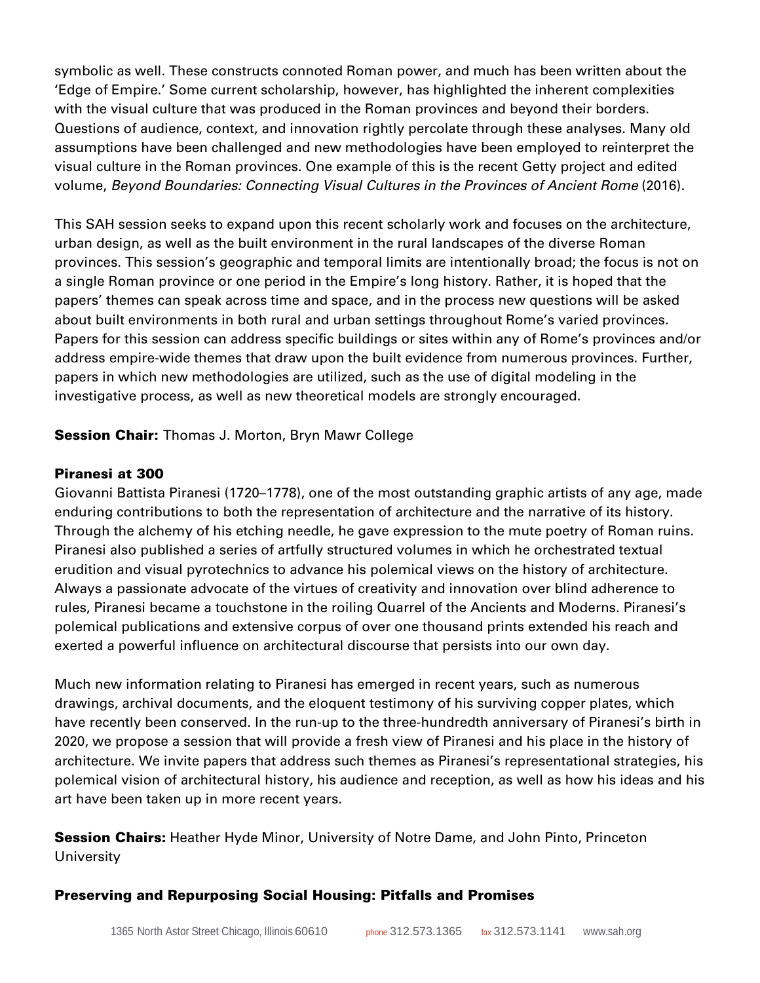symbolic as well. These constructs connoted Roman power, and much has been written about the 'Edge of Empire.' Some current scholarship, however, has highlighted the inherent complexities with the visual culture that was produced in the Roman provinces and beyond their borders. Questions of audience, context, and innovation rightly percolate through these analyses. Many old assumptions have been challenged and new methodologies have been employed to reinterpret the visual culture in the Roman provinces. One example of this is the recent Getty project and edited volume, *Beyond Boundaries: Connecting Visual Cultures in the Provinces of Ancient Rome* (2016).

This SAH session seeks to expand upon this recent scholarly work and focuses on the architecture, urban design, as well as the built environment in the rural landscapes of the diverse Roman provinces. This session's geographic and temporal limits are intentionally broad; the focus is not on a single Roman province or one period in the Empire's long history. Rather, it is hoped that the papers' themes can speak across time and space, and in the process new questions will be asked about built environments in both rural and urban settings throughout Rome's varied provinces. Papers for this session can address specific buildings or sites within any of Rome's provinces and/or address empire-wide themes that draw upon the built evidence from numerous provinces. Further, papers in which new methodologies are utilized, such as the use of digital modeling in the investigative process, as well as new theoretical models are strongly encouraged.

**Session Chair:** Thomas J. Morton, Bryn Mawr College

#### Piranesi at 300

Giovanni Battista Piranesi (1720–1778), one of the most outstanding graphic artists of any age, made enduring contributions to both the representation of architecture and the narrative of its history. Through the alchemy of his etching needle, he gave expression to the mute poetry of Roman ruins. Piranesi also published a series of artfully structured volumes in which he orchestrated textual erudition and visual pyrotechnics to advance his polemical views on the history of architecture. Always a passionate advocate of the virtues of creativity and innovation over blind adherence to rules, Piranesi became a touchstone in the roiling Quarrel of the Ancients and Moderns. Piranesi's polemical publications and extensive corpus of over one thousand prints extended his reach and exerted a powerful influence on architectural discourse that persists into our own day.

Much new information relating to Piranesi has emerged in recent years, such as numerous drawings, archival documents, and the eloquent testimony of his surviving copper plates, which have recently been conserved. In the run-up to the three-hundredth anniversary of Piranesi's birth in 2020, we propose a session that will provide a fresh view of Piranesi and his place in the history of architecture. We invite papers that address such themes as Piranesi's representational strategies, his polemical vision of architectural history, his audience and reception, as well as how his ideas and his art have been taken up in more recent years.

**Session Chairs:** Heather Hyde Minor, University of Notre Dame, and John Pinto, Princeton **University** 

### Preserving and Repurposing Social Housing: Pitfalls and Promises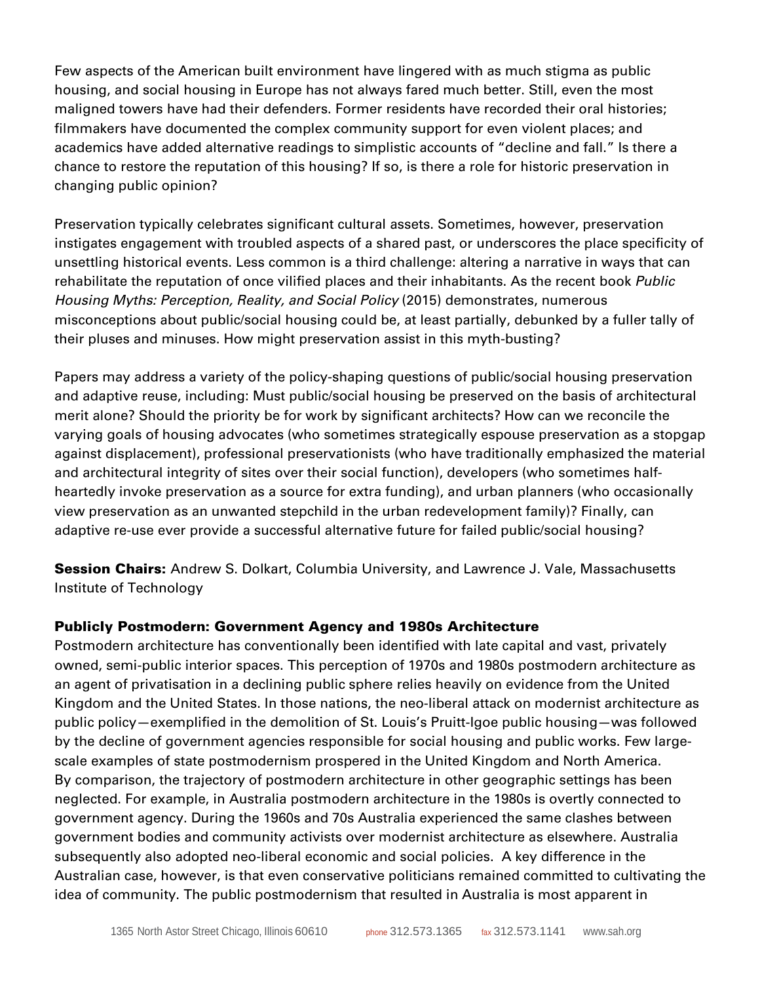Few aspects of the American built environment have lingered with as much stigma as public housing, and social housing in Europe has not always fared much better. Still, even the most maligned towers have had their defenders. Former residents have recorded their oral histories; filmmakers have documented the complex community support for even violent places; and academics have added alternative readings to simplistic accounts of "decline and fall." Is there a chance to restore the reputation of this housing? If so, is there a role for historic preservation in changing public opinion?

Preservation typically celebrates significant cultural assets. Sometimes, however, preservation instigates engagement with troubled aspects of a shared past, or underscores the place specificity of unsettling historical events. Less common is a third challenge: altering a narrative in ways that can rehabilitate the reputation of once vilified places and their inhabitants. As the recent book *Public Housing Myths: Perception, Reality, and Social Policy* (2015) demonstrates, numerous misconceptions about public/social housing could be, at least partially, debunked by a fuller tally of their pluses and minuses. How might preservation assist in this myth-busting?

Papers may address a variety of the policy-shaping questions of public/social housing preservation and adaptive reuse, including: Must public/social housing be preserved on the basis of architectural merit alone? Should the priority be for work by significant architects? How can we reconcile the varying goals of housing advocates (who sometimes strategically espouse preservation as a stopgap against displacement), professional preservationists (who have traditionally emphasized the material and architectural integrity of sites over their social function), developers (who sometimes halfheartedly invoke preservation as a source for extra funding), and urban planners (who occasionally view preservation as an unwanted stepchild in the urban redevelopment family)? Finally, can adaptive re-use ever provide a successful alternative future for failed public/social housing?

Session Chairs: Andrew S. Dolkart, Columbia University, and Lawrence J. Vale, Massachusetts Institute of Technology

### Publicly Postmodern: Government Agency and 1980s Architecture

Postmodern architecture has conventionally been identified with late capital and vast, privately owned, semi-public interior spaces. This perception of 1970s and 1980s postmodern architecture as an agent of privatisation in a declining public sphere relies heavily on evidence from the United Kingdom and the United States. In those nations, the neo-liberal attack on modernist architecture as public policy—exemplified in the demolition of St. Louis's Pruitt-Igoe public housing—was followed by the decline of government agencies responsible for social housing and public works. Few largescale examples of state postmodernism prospered in the United Kingdom and North America. By comparison, the trajectory of postmodern architecture in other geographic settings has been neglected. For example, in Australia postmodern architecture in the 1980s is overtly connected to government agency. During the 1960s and 70s Australia experienced the same clashes between government bodies and community activists over modernist architecture as elsewhere. Australia subsequently also adopted neo-liberal economic and social policies. A key difference in the Australian case, however, is that even conservative politicians remained committed to cultivating the idea of community. The public postmodernism that resulted in Australia is most apparent in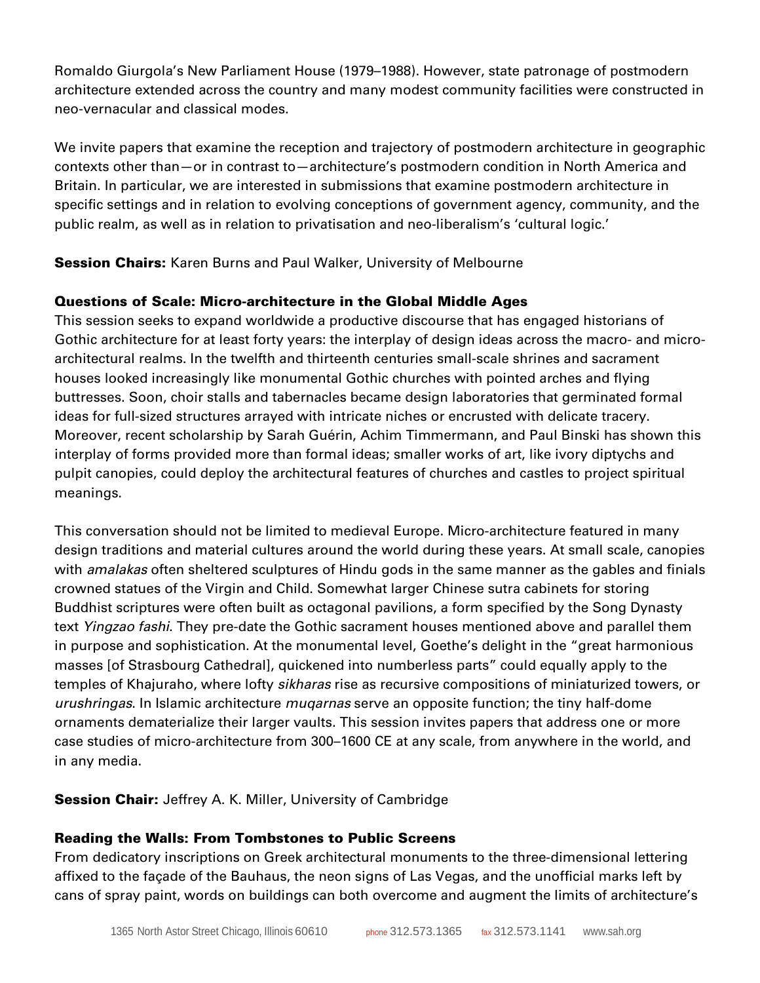Romaldo Giurgola's New Parliament House (1979–1988). However, state patronage of postmodern architecture extended across the country and many modest community facilities were constructed in neo-vernacular and classical modes.

We invite papers that examine the reception and trajectory of postmodern architecture in geographic contexts other than—or in contrast to—architecture's postmodern condition in North America and Britain. In particular, we are interested in submissions that examine postmodern architecture in specific settings and in relation to evolving conceptions of government agency, community, and the public realm, as well as in relation to privatisation and neo-liberalism's 'cultural logic.'

**Session Chairs:** Karen Burns and Paul Walker, University of Melbourne

## Questions of Scale: Micro-architecture in the Global Middle Ages

This session seeks to expand worldwide a productive discourse that has engaged historians of Gothic architecture for at least forty years: the interplay of design ideas across the macro- and microarchitectural realms. In the twelfth and thirteenth centuries small-scale shrines and sacrament houses looked increasingly like monumental Gothic churches with pointed arches and flying buttresses. Soon, choir stalls and tabernacles became design laboratories that germinated formal ideas for full-sized structures arrayed with intricate niches or encrusted with delicate tracery. Moreover, recent scholarship by Sarah Guérin, Achim Timmermann, and Paul Binski has shown this interplay of forms provided more than formal ideas; smaller works of art, like ivory diptychs and pulpit canopies, could deploy the architectural features of churches and castles to project spiritual meanings.

This conversation should not be limited to medieval Europe. Micro-architecture featured in many design traditions and material cultures around the world during these years. At small scale, canopies with *amalakas* often sheltered sculptures of Hindu gods in the same manner as the gables and finials crowned statues of the Virgin and Child. Somewhat larger Chinese sutra cabinets for storing Buddhist scriptures were often built as octagonal pavilions, a form specified by the Song Dynasty text *Yingzao fashi*. They pre-date the Gothic sacrament houses mentioned above and parallel them in purpose and sophistication. At the monumental level, Goethe's delight in the "great harmonious masses [of Strasbourg Cathedral], quickened into numberless parts" could equally apply to the temples of Khajuraho, where lofty *sikharas* rise as recursive compositions of miniaturized towers, or *urushringas*. In Islamic architecture *muqarnas* serve an opposite function; the tiny half-dome ornaments dematerialize their larger vaults. This session invites papers that address one or more case studies of micro-architecture from 300–1600 CE at any scale, from anywhere in the world, and in any media.

## **Session Chair:** Jeffrey A. K. Miller, University of Cambridge

## Reading the Walls: From Tombstones to Public Screens

From dedicatory inscriptions on Greek architectural monuments to the three-dimensional lettering affixed to the façade of the Bauhaus, the neon signs of Las Vegas, and the unofficial marks left by cans of spray paint, words on buildings can both overcome and augment the limits of architecture's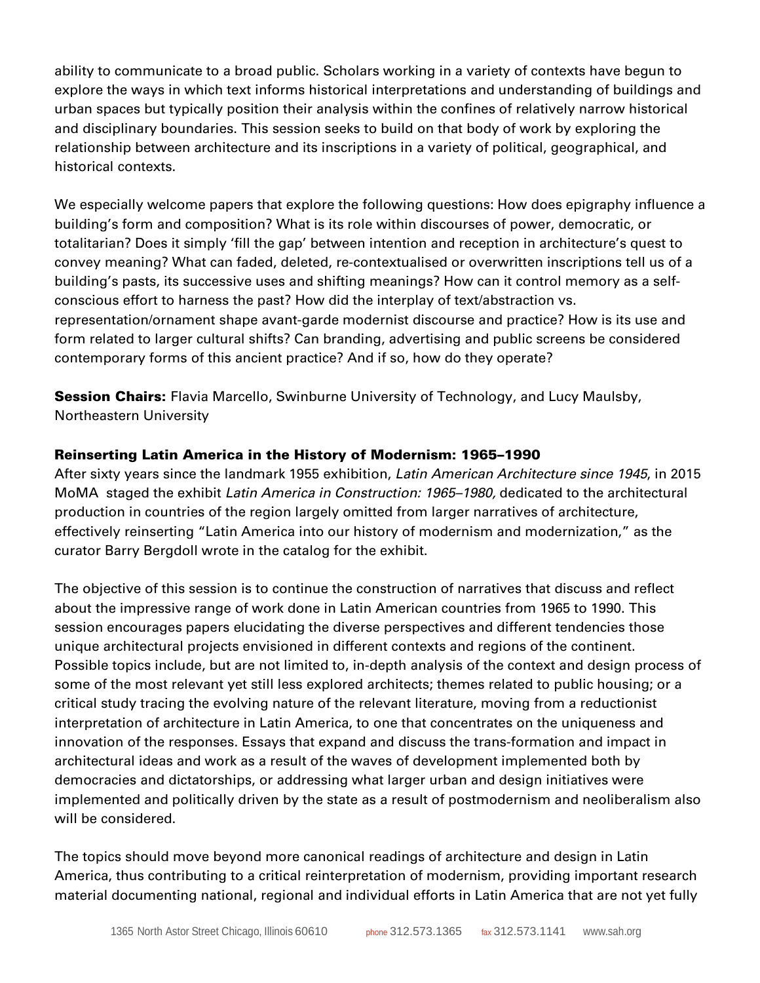ability to communicate to a broad public. Scholars working in a variety of contexts have begun to explore the ways in which text informs historical interpretations and understanding of buildings and urban spaces but typically position their analysis within the confines of relatively narrow historical and disciplinary boundaries. This session seeks to build on that body of work by exploring the relationship between architecture and its inscriptions in a variety of political, geographical, and historical contexts.

We especially welcome papers that explore the following questions: How does epigraphy influence a building's form and composition? What is its role within discourses of power, democratic, or totalitarian? Does it simply 'fill the gap' between intention and reception in architecture's quest to convey meaning? What can faded, deleted, re-contextualised or overwritten inscriptions tell us of a building's pasts, its successive uses and shifting meanings? How can it control memory as a selfconscious effort to harness the past? How did the interplay of text/abstraction vs. representation/ornament shape avant-garde modernist discourse and practice? How is its use and form related to larger cultural shifts? Can branding, advertising and public screens be considered contemporary forms of this ancient practice? And if so, how do they operate?

**Session Chairs:** Flavia Marcello, Swinburne University of Technology, and Lucy Maulsby, Northeastern University

## Reinserting Latin America in the History of Modernism: 1965–1990

After sixty years since the landmark 1955 exhibition, *Latin American Architecture since 1945*, in 2015 MoMA staged the exhibit *Latin America in Construction: 1965–1980,* dedicated to the architectural production in countries of the region largely omitted from larger narratives of architecture, effectively reinserting "Latin America into our history of modernism and modernization," as the curator Barry Bergdoll wrote in the catalog for the exhibit.

The objective of this session is to continue the construction of narratives that discuss and reflect about the impressive range of work done in Latin American countries from 1965 to 1990. This session encourages papers elucidating the diverse perspectives and different tendencies those unique architectural projects envisioned in different contexts and regions of the continent. Possible topics include, but are not limited to, in-depth analysis of the context and design process of some of the most relevant yet still less explored architects; themes related to public housing; or a critical study tracing the evolving nature of the relevant literature, moving from a reductionist interpretation of architecture in Latin America, to one that concentrates on the uniqueness and innovation of the responses. Essays that expand and discuss the trans-formation and impact in architectural ideas and work as a result of the waves of development implemented both by democracies and dictatorships, or addressing what larger urban and design initiatives were implemented and politically driven by the state as a result of postmodernism and neoliberalism also will be considered.

The topics should move beyond more canonical readings of architecture and design in Latin America, thus contributing to a critical reinterpretation of modernism, providing important research material documenting national, regional and individual efforts in Latin America that are not yet fully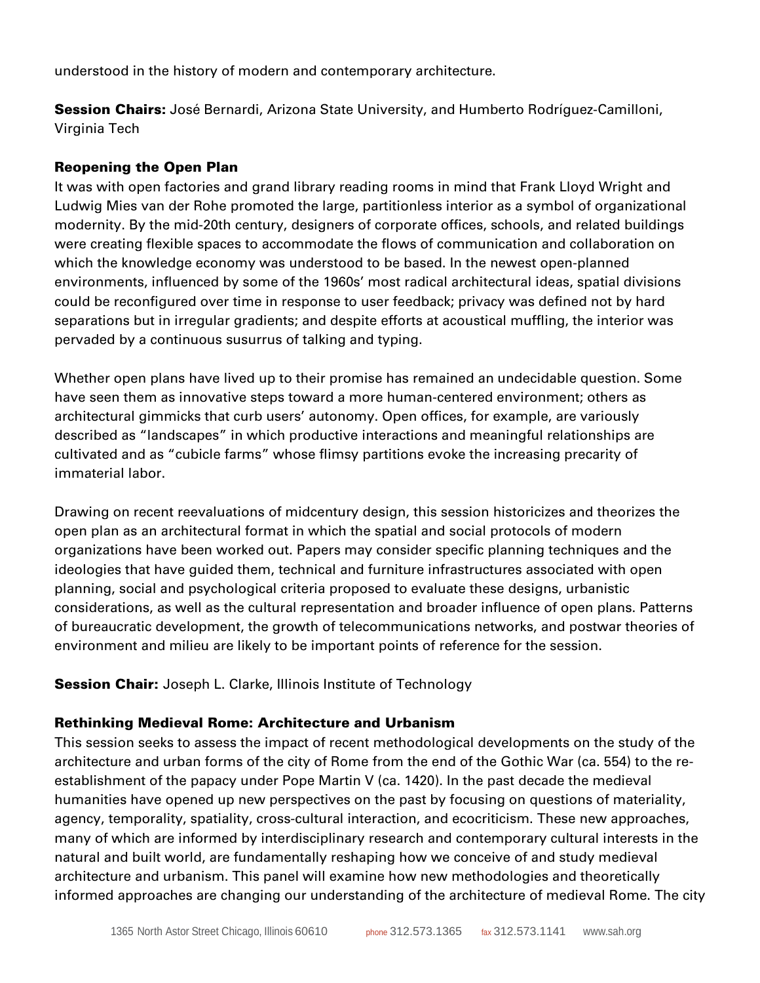understood in the history of modern and contemporary architecture.

Session Chairs: José Bernardi, Arizona State University, and Humberto Rodríguez-Camilloni, Virginia Tech

#### Reopening the Open Plan

It was with open factories and grand library reading rooms in mind that Frank Lloyd Wright and Ludwig Mies van der Rohe promoted the large, partitionless interior as a symbol of organizational modernity. By the mid-20th century, designers of corporate offices, schools, and related buildings were creating flexible spaces to accommodate the flows of communication and collaboration on which the knowledge economy was understood to be based. In the newest open-planned environments, influenced by some of the 1960s' most radical architectural ideas, spatial divisions could be reconfigured over time in response to user feedback; privacy was defined not by hard separations but in irregular gradients; and despite efforts at acoustical muffling, the interior was pervaded by a continuous susurrus of talking and typing.

Whether open plans have lived up to their promise has remained an undecidable question. Some have seen them as innovative steps toward a more human-centered environment; others as architectural gimmicks that curb users' autonomy. Open offices, for example, are variously described as "landscapes" in which productive interactions and meaningful relationships are cultivated and as "cubicle farms" whose flimsy partitions evoke the increasing precarity of immaterial labor.

Drawing on recent reevaluations of midcentury design, this session historicizes and theorizes the open plan as an architectural format in which the spatial and social protocols of modern organizations have been worked out. Papers may consider specific planning techniques and the ideologies that have guided them, technical and furniture infrastructures associated with open planning, social and psychological criteria proposed to evaluate these designs, urbanistic considerations, as well as the cultural representation and broader influence of open plans. Patterns of bureaucratic development, the growth of telecommunications networks, and postwar theories of environment and milieu are likely to be important points of reference for the session.

**Session Chair:** Joseph L. Clarke, Illinois Institute of Technology

#### Rethinking Medieval Rome: Architecture and Urbanism

This session seeks to assess the impact of recent methodological developments on the study of the architecture and urban forms of the city of Rome from the end of the Gothic War (ca. 554) to the reestablishment of the papacy under Pope Martin V (ca. 1420). In the past decade the medieval humanities have opened up new perspectives on the past by focusing on questions of materiality, agency, temporality, spatiality, cross-cultural interaction, and ecocriticism. These new approaches, many of which are informed by interdisciplinary research and contemporary cultural interests in the natural and built world, are fundamentally reshaping how we conceive of and study medieval architecture and urbanism. This panel will examine how new methodologies and theoretically informed approaches are changing our understanding of the architecture of medieval Rome. The city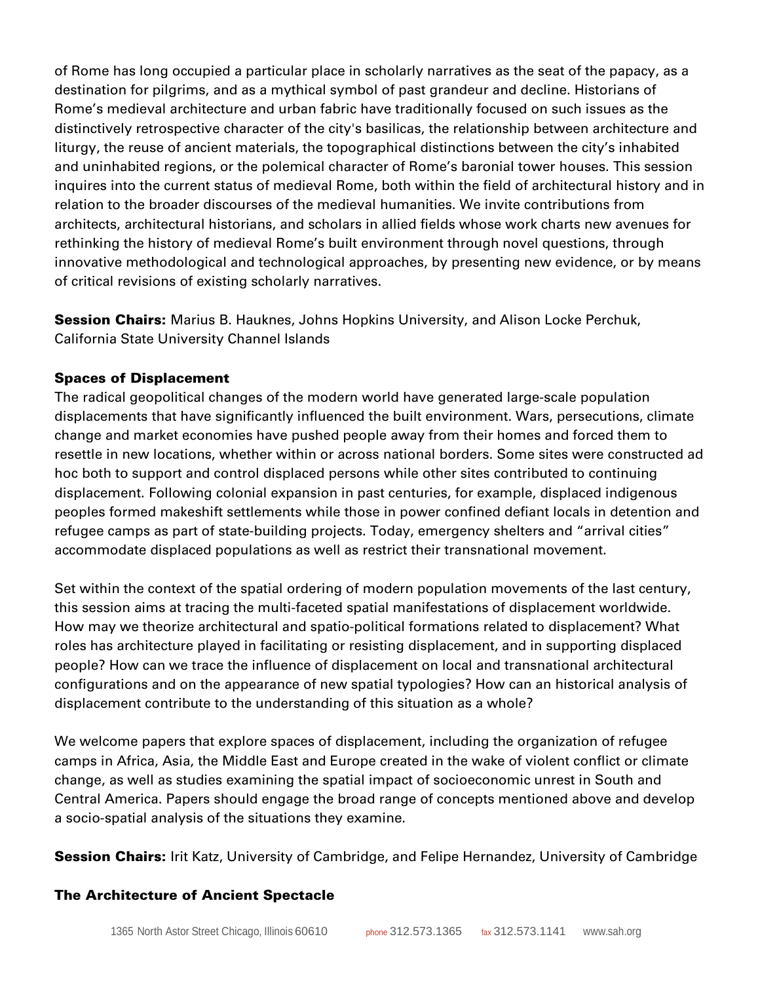of Rome has long occupied a particular place in scholarly narratives as the seat of the papacy, as a destination for pilgrims, and as a mythical symbol of past grandeur and decline. Historians of Rome's medieval architecture and urban fabric have traditionally focused on such issues as the distinctively retrospective character of the city's basilicas, the relationship between architecture and liturgy, the reuse of ancient materials, the topographical distinctions between the city's inhabited and uninhabited regions, or the polemical character of Rome's baronial tower houses. This session inquires into the current status of medieval Rome, both within the field of architectural history and in relation to the broader discourses of the medieval humanities. We invite contributions from architects, architectural historians, and scholars in allied fields whose work charts new avenues for rethinking the history of medieval Rome's built environment through novel questions, through innovative methodological and technological approaches, by presenting new evidence, or by means of critical revisions of existing scholarly narratives.

**Session Chairs:** Marius B. Hauknes, Johns Hopkins University, and Alison Locke Perchuk, California State University Channel Islands

## Spaces of Displacement

The radical geopolitical changes of the modern world have generated large-scale population displacements that have significantly influenced the built environment. Wars, persecutions, climate change and market economies have pushed people away from their homes and forced them to resettle in new locations, whether within or across national borders. Some sites were constructed ad hoc both to support and control displaced persons while other sites contributed to continuing displacement. Following colonial expansion in past centuries, for example, displaced indigenous peoples formed makeshift settlements while those in power confined defiant locals in detention and refugee camps as part of state-building projects. Today, emergency shelters and "arrival cities" accommodate displaced populations as well as restrict their transnational movement.

Set within the context of the spatial ordering of modern population movements of the last century, this session aims at tracing the multi-faceted spatial manifestations of displacement worldwide. How may we theorize architectural and spatio-political formations related to displacement? What roles has architecture played in facilitating or resisting displacement, and in supporting displaced people? How can we trace the influence of displacement on local and transnational architectural configurations and on the appearance of new spatial typologies? How can an historical analysis of displacement contribute to the understanding of this situation as a whole?

We welcome papers that explore spaces of displacement, including the organization of refugee camps in Africa, Asia, the Middle East and Europe created in the wake of violent conflict or climate change, as well as studies examining the spatial impact of socioeconomic unrest in South and Central America. Papers should engage the broad range of concepts mentioned above and develop a socio-spatial analysis of the situations they examine.

**Session Chairs:** Irit Katz, University of Cambridge, and Felipe Hernandez, University of Cambridge

## The Architecture of Ancient Spectacle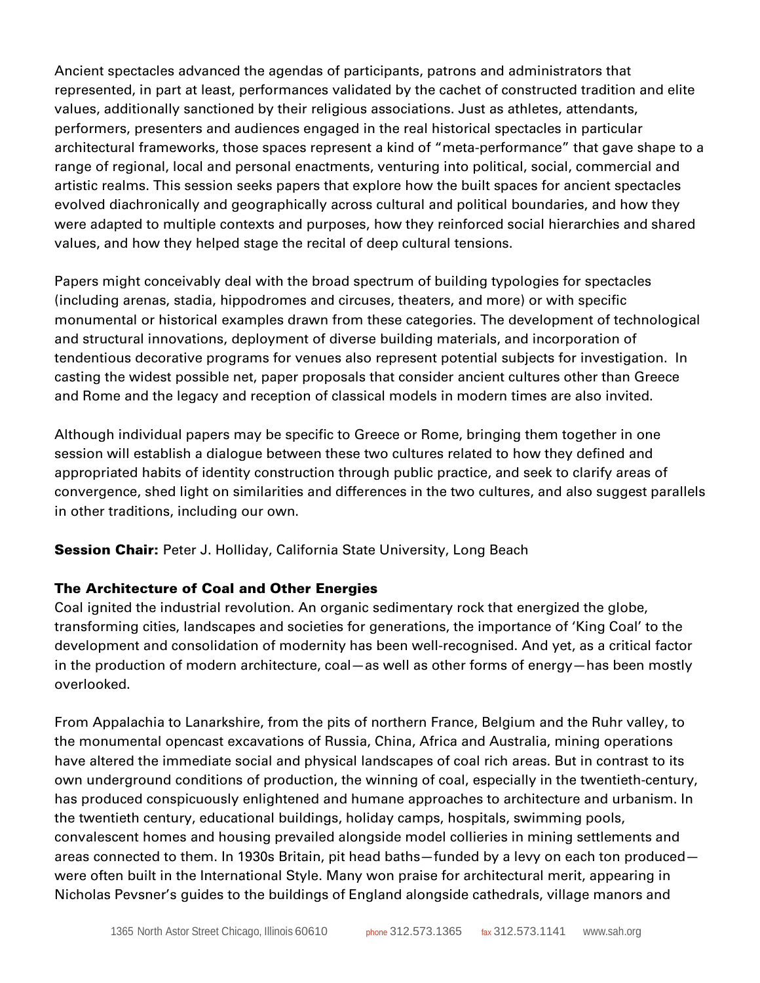Ancient spectacles advanced the agendas of participants, patrons and administrators that represented, in part at least, performances validated by the cachet of constructed tradition and elite values, additionally sanctioned by their religious associations. Just as athletes, attendants, performers, presenters and audiences engaged in the real historical spectacles in particular architectural frameworks, those spaces represent a kind of "meta-performance" that gave shape to a range of regional, local and personal enactments, venturing into political, social, commercial and artistic realms. This session seeks papers that explore how the built spaces for ancient spectacles evolved diachronically and geographically across cultural and political boundaries, and how they were adapted to multiple contexts and purposes, how they reinforced social hierarchies and shared values, and how they helped stage the recital of deep cultural tensions.

Papers might conceivably deal with the broad spectrum of building typologies for spectacles (including arenas, stadia, hippodromes and circuses, theaters, and more) or with specific monumental or historical examples drawn from these categories. The development of technological and structural innovations, deployment of diverse building materials, and incorporation of tendentious decorative programs for venues also represent potential subjects for investigation. In casting the widest possible net, paper proposals that consider ancient cultures other than Greece and Rome and the legacy and reception of classical models in modern times are also invited.

Although individual papers may be specific to Greece or Rome, bringing them together in one session will establish a dialogue between these two cultures related to how they defined and appropriated habits of identity construction through public practice, and seek to clarify areas of convergence, shed light on similarities and differences in the two cultures, and also suggest parallels in other traditions, including our own.

**Session Chair:** Peter J. Holliday, California State University, Long Beach

## The Architecture of Coal and Other Energies

Coal ignited the industrial revolution. An organic sedimentary rock that energized the globe, transforming cities, landscapes and societies for generations, the importance of 'King Coal' to the development and consolidation of modernity has been well-recognised. And yet, as a critical factor in the production of modern architecture, coal—as well as other forms of energy—has been mostly overlooked.

From Appalachia to Lanarkshire, from the pits of northern France, Belgium and the Ruhr valley, to the monumental opencast excavations of Russia, China, Africa and Australia, mining operations have altered the immediate social and physical landscapes of coal rich areas. But in contrast to its own underground conditions of production, the winning of coal, especially in the twentieth-century, has produced conspicuously enlightened and humane approaches to architecture and urbanism. In the twentieth century, educational buildings, holiday camps, hospitals, swimming pools, convalescent homes and housing prevailed alongside model collieries in mining settlements and areas connected to them. In 1930s Britain, pit head baths—funded by a levy on each ton produced were often built in the International Style. Many won praise for architectural merit, appearing in Nicholas Pevsner's guides to the buildings of England alongside cathedrals, village manors and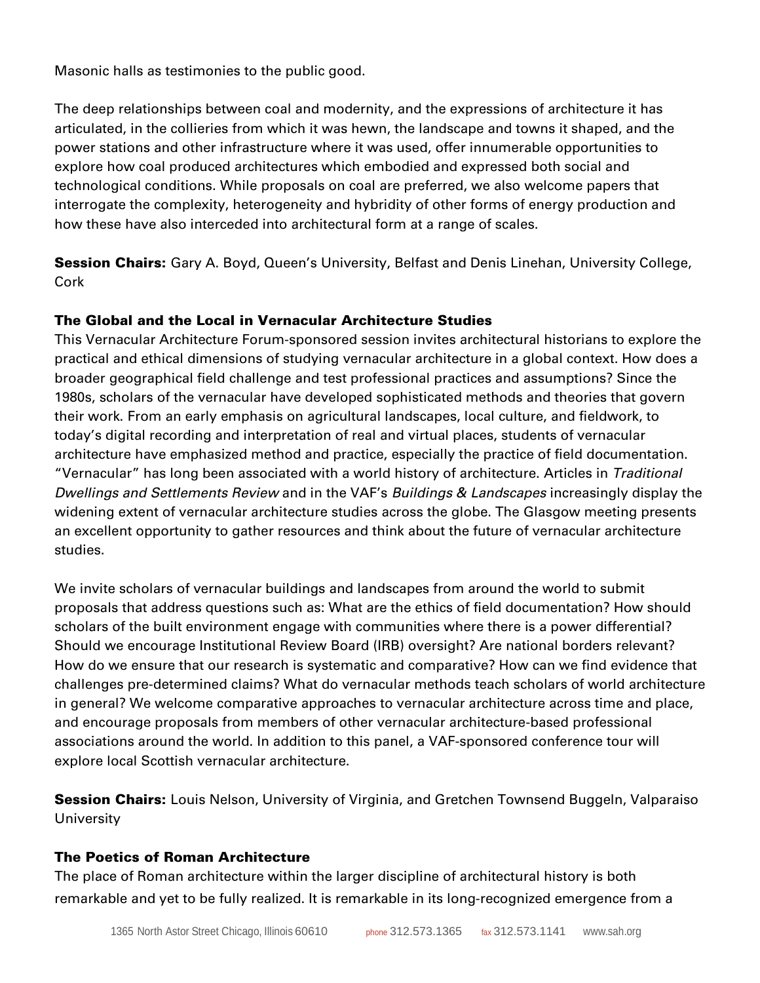Masonic halls as testimonies to the public good.

The deep relationships between coal and modernity, and the expressions of architecture it has articulated, in the collieries from which it was hewn, the landscape and towns it shaped, and the power stations and other infrastructure where it was used, offer innumerable opportunities to explore how coal produced architectures which embodied and expressed both social and technological conditions. While proposals on coal are preferred, we also welcome papers that interrogate the complexity, heterogeneity and hybridity of other forms of energy production and how these have also interceded into architectural form at a range of scales.

**Session Chairs:** Gary A. Boyd, Queen's University, Belfast and Denis Linehan, University College, Cork

## The Global and the Local in Vernacular Architecture Studies

This Vernacular Architecture Forum-sponsored session invites architectural historians to explore the practical and ethical dimensions of studying vernacular architecture in a global context. How does a broader geographical field challenge and test professional practices and assumptions? Since the 1980s, scholars of the vernacular have developed sophisticated methods and theories that govern their work. From an early emphasis on agricultural landscapes, local culture, and fieldwork, to today's digital recording and interpretation of real and virtual places, students of vernacular architecture have emphasized method and practice, especially the practice of field documentation. "Vernacular" has long been associated with a world history of architecture. Articles in *Traditional Dwellings and Settlements Review* and in the VAF's *Buildings & Landscapes* increasingly display the widening extent of vernacular architecture studies across the globe. The Glasgow meeting presents an excellent opportunity to gather resources and think about the future of vernacular architecture studies.

We invite scholars of vernacular buildings and landscapes from around the world to submit proposals that address questions such as: What are the ethics of field documentation? How should scholars of the built environment engage with communities where there is a power differential? Should we encourage Institutional Review Board (IRB) oversight? Are national borders relevant? How do we ensure that our research is systematic and comparative? How can we find evidence that challenges pre-determined claims? What do vernacular methods teach scholars of world architecture in general? We welcome comparative approaches to vernacular architecture across time and place, and encourage proposals from members of other vernacular architecture-based professional associations around the world. In addition to this panel, a VAF-sponsored conference tour will explore local Scottish vernacular architecture.

**Session Chairs:** Louis Nelson, University of Virginia, and Gretchen Townsend Buggeln, Valparaiso **University** 

### The Poetics of Roman Architecture

The place of Roman architecture within the larger discipline of architectural history is both remarkable and yet to be fully realized. It is remarkable in its long-recognized emergence from a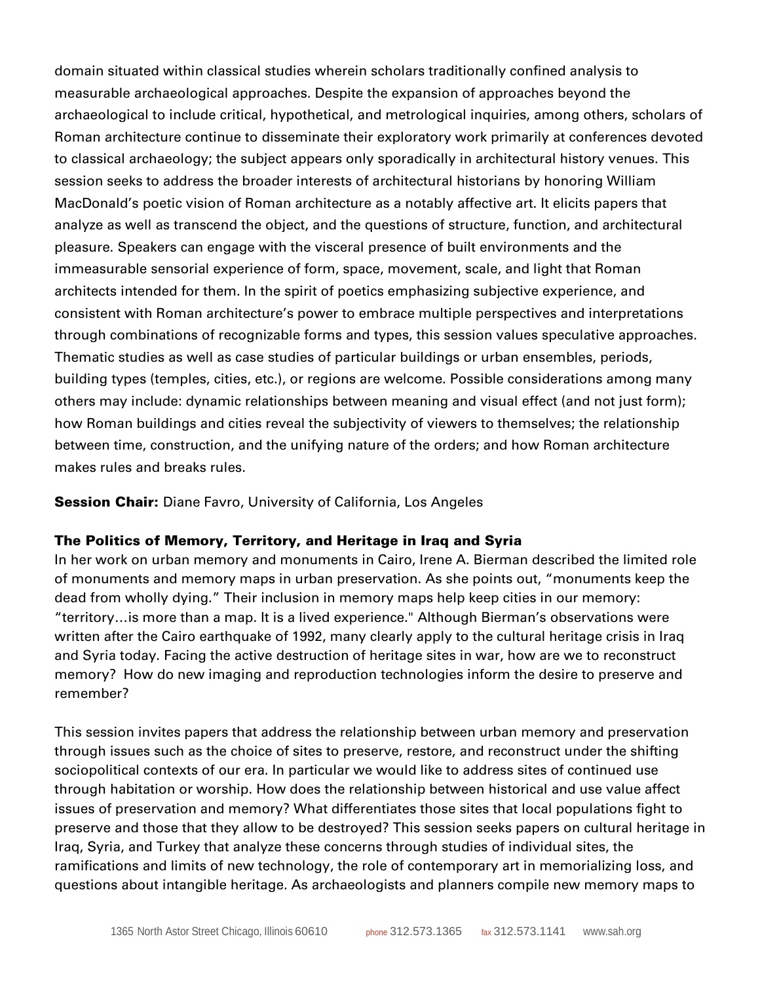domain situated within classical studies wherein scholars traditionally confined analysis to measurable archaeological approaches. Despite the expansion of approaches beyond the archaeological to include critical, hypothetical, and metrological inquiries, among others, scholars of Roman architecture continue to disseminate their exploratory work primarily at conferences devoted to classical archaeology; the subject appears only sporadically in architectural history venues. This session seeks to address the broader interests of architectural historians by honoring William MacDonald's poetic vision of Roman architecture as a notably affective art. It elicits papers that analyze as well as transcend the object, and the questions of structure, function, and architectural pleasure. Speakers can engage with the visceral presence of built environments and the immeasurable sensorial experience of form, space, movement, scale, and light that Roman architects intended for them. In the spirit of poetics emphasizing subjective experience, and consistent with Roman architecture's power to embrace multiple perspectives and interpretations through combinations of recognizable forms and types, this session values speculative approaches. Thematic studies as well as case studies of particular buildings or urban ensembles, periods, building types (temples, cities, etc.), or regions are welcome. Possible considerations among many others may include: dynamic relationships between meaning and visual effect (and not just form); how Roman buildings and cities reveal the subjectivity of viewers to themselves; the relationship between time, construction, and the unifying nature of the orders; and how Roman architecture makes rules and breaks rules.

#### **Session Chair:** Diane Favro, University of California, Los Angeles

#### The Politics of Memory, Territory, and Heritage in Iraq and Syria

In her work on urban memory and monuments in Cairo, Irene A. Bierman described the limited role of monuments and memory maps in urban preservation. As she points out, "monuments keep the dead from wholly dying." Their inclusion in memory maps help keep cities in our memory: "territory…is more than a map. It is a lived experience." Although Bierman's observations were written after the Cairo earthquake of 1992, many clearly apply to the cultural heritage crisis in Iraq and Syria today. Facing the active destruction of heritage sites in war, how are we to reconstruct memory? How do new imaging and reproduction technologies inform the desire to preserve and remember?

This session invites papers that address the relationship between urban memory and preservation through issues such as the choice of sites to preserve, restore, and reconstruct under the shifting sociopolitical contexts of our era. In particular we would like to address sites of continued use through habitation or worship. How does the relationship between historical and use value affect issues of preservation and memory? What differentiates those sites that local populations fight to preserve and those that they allow to be destroyed? This session seeks papers on cultural heritage in Iraq, Syria, and Turkey that analyze these concerns through studies of individual sites, the ramifications and limits of new technology, the role of contemporary art in memorializing loss, and questions about intangible heritage. As archaeologists and planners compile new memory maps to